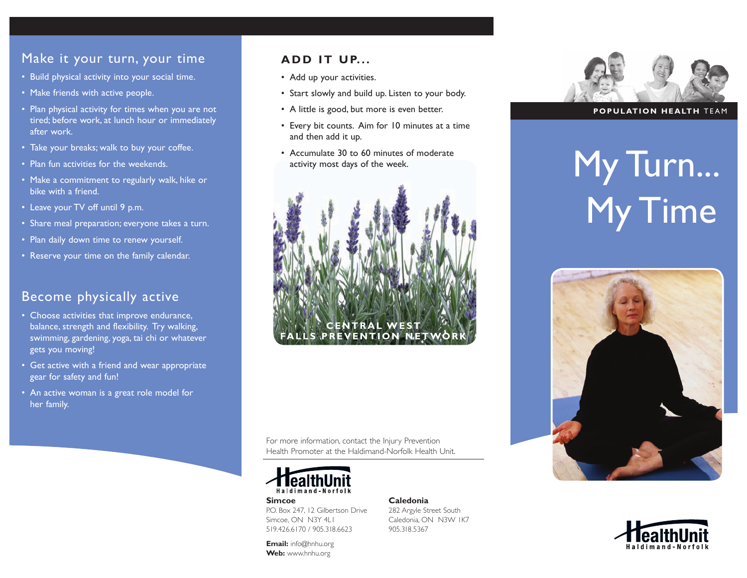# Make it your turn, your time

- Build physical activity into your social time.
- Make friends with active people.
- Plan physical activity for times when you are not tired; before work, at lunch hour or immediately after work.
- Take your breaks; walk to buy your coffee.
- Plan fun activities for the weekends.
- Make a commitment to regularly walk, hike or bike with a friend.
- Leave your TV off until 9 p.m.
- Share meal preparation; everyone takes a turn.
- Plan daily down time to renew yourself.
- Reserve your time on the family calendar.

# Become physically active

- Choose activities that improve endurance, balance, strength and flexibility. Try walking, swimming, gardening, yoga, tai chi or whatever gets you moving!
- Get active with a friend and wear appropriate gear for safety and fun!
- An active woman is a great role model for her family.

#### **ADD IT UP...**

- Add up your activities.
- Start slowly and build up. Listen to your body.
- A little is good, but more is even better.
- Every bit counts. Aim for 10 minutes at a time and then add it up.
- Accumulate 30 to 60 minutes of moderate activity most days of the week.



For more information, contact the Injury Prevention Health Promoter at the Haldimand-Norfolk Health Unit.

> **Caledonia** 282 Argyle Street South Caledonia, ON N3W 1K7

905.318.5367



**Simcoe** P.O. Box 247, 12 Gilbertson Drive Simcoe, ON N3Y 4LL 519.426.6170 / 905.318.6623

**Email:** info@hnhu.org **Web:** www.hnhu.org

#### **POPULATION HEALTH** TEAM

# My Turn... My Time